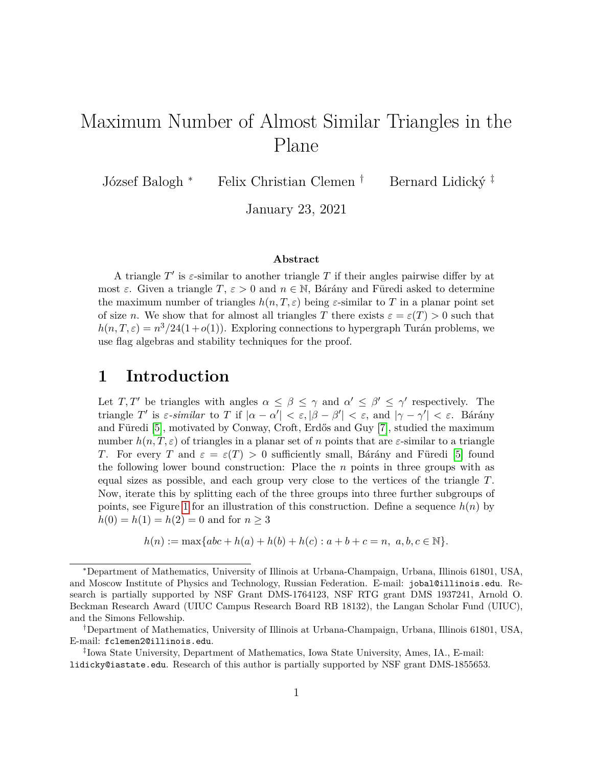# Maximum Number of Almost Similar Triangles in the Plane

József Balogh <sup>∗</sup> Felix Christian Clemen <sup>†</sup> Bernard Lidický <sup>‡</sup>

January 23, 2021

#### **Abstract**

A triangle  $T'$  is  $\varepsilon$ -similar to another triangle  $T$  if their angles pairwise differ by at most  $\varepsilon$ . Given a triangle  $T$ ,  $\varepsilon > 0$  and  $n \in \mathbb{N}$ , Bárány and Füredi asked to determine the maximum number of triangles  $h(n, T, \varepsilon)$  being  $\varepsilon$ -similar to T in a planar point set of size *n*. We show that for almost all triangles *T* there exists  $\varepsilon = \varepsilon(T) > 0$  such that  $h(n, T, \varepsilon) = n^3/24(1+o(1))$ . Exploring connections to hypergraph Turán problems, we use flag algebras and stability techniques for the proof.

### **1 Introduction**

Let *T*, *T'* be triangles with angles  $\alpha \leq \beta \leq \gamma$  and  $\alpha' \leq \beta' \leq \gamma'$  respectively. The triangle *T*<sup>'</sup> is *ε-similar* to *T* if  $|\alpha - \alpha'| < \varepsilon, |\beta - \beta'| < \varepsilon$ , and  $|\gamma - \gamma'| < \varepsilon$ . Bárány and Füredi  $[5]$ , motivated by Conway, Croft, Erdős and Guy  $[7]$ , studied the maximum number  $h(n, T, \varepsilon)$  of triangles in a planar set of *n* points that are  $\varepsilon$ -similar to a triangle *T*. For every *T* and  $\varepsilon = \varepsilon(T) > 0$  sufficiently small, Bárány and Füredi [\[5\]](#page-19-0) found the following lower bound construction: Place the *n* points in three groups with as equal sizes as possible, and each group very close to the vertices of the triangle *T*. Now, iterate this by splitting each of the three groups into three further subgroups of points, see Figure [1](#page-1-0) for an illustration of this construction. Define a sequence  $h(n)$  by  $h(0) = h(1) = h(2) = 0$  and for  $n \geq 3$ 

$$
h(n) := \max\{abc + h(a) + h(b) + h(c) : a + b + c = n, \ a, b, c \in \mathbb{N}\}.
$$

<sup>∗</sup>Department of Mathematics, University of Illinois at Urbana-Champaign, Urbana, Illinois 61801, USA, and Moscow Institute of Physics and Technology, Russian Federation. E-mail: jobal@illinois.edu. Research is partially supported by NSF Grant DMS-1764123, NSF RTG grant DMS 1937241, Arnold O. Beckman Research Award (UIUC Campus Research Board RB 18132), the Langan Scholar Fund (UIUC), and the Simons Fellowship.

<sup>†</sup>Department of Mathematics, University of Illinois at Urbana-Champaign, Urbana, Illinois 61801, USA, E-mail: fclemen2@illinois.edu.

<sup>‡</sup> Iowa State University, Department of Mathematics, Iowa State University, Ames, IA., E-mail: lidicky@iastate.edu. Research of this author is partially supported by NSF grant DMS-1855653.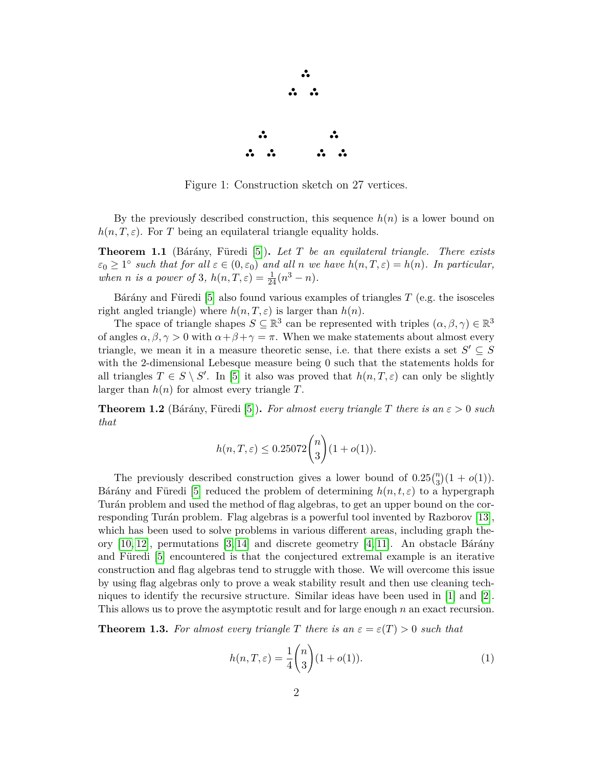

Figure 1: Construction sketch on 27 vertices.

<span id="page-1-0"></span>By the previously described construction, this sequence  $h(n)$  is a lower bound on  $h(n, T, \varepsilon)$ . For *T* being an equilateral triangle equality holds.

**Theorem 1.1** (Bárány, Füredi [\[5\]](#page-19-0)). Let T be an equilateral triangle. There exists  $\varepsilon_0 \geq 1^{\circ}$  *such that for all*  $\varepsilon \in (0, \varepsilon_0)$  *and all n we have*  $h(n, T, \varepsilon) = h(n)$ *. In particular, when n is a power of* 3*,*  $h(n, T, \varepsilon) = \frac{1}{24}(n^3 - n)$ *.* 

Bárány and Füredi  $[5]$  also found various examples of triangles *T* (e.g. the isosceles right angled triangle) where  $h(n, T, \varepsilon)$  is larger than  $h(n)$ .

The space of triangle shapes  $S \subseteq \mathbb{R}^3$  can be represented with triples  $(\alpha, \beta, \gamma) \in \mathbb{R}^3$ of angles  $\alpha, \beta, \gamma > 0$  with  $\alpha + \beta + \gamma = \pi$ . When we make statements about almost every triangle, we mean it in a measure theoretic sense, i.e. that there exists a set  $S' \subseteq S$ with the 2-dimensional Lebesque measure being 0 such that the statements holds for all triangles  $T \in S \setminus S'$ . In [\[5\]](#page-19-0) it also was proved that  $h(n, T, \varepsilon)$  can only be slightly larger than  $h(n)$  for almost every triangle  $T$ .

<span id="page-1-2"></span>**Theorem 1.2** (Bárány, Füredi [\[5\]](#page-19-0)). For almost every triangle T there is an  $\varepsilon > 0$  such *that*

$$
h(n, T, \varepsilon) \le 0.25072 \binom{n}{3} (1 + o(1)).
$$

The previously described construction gives a lower bound of  $0.25\binom{n}{3}(1 + o(1))$ . Bárány and Füredi [\[5\]](#page-19-0) reduced the problem of determining  $h(n, t, \varepsilon)$  to a hypergraph Turán problem and used the method of flag algebras, to get an upper bound on the cor-responding Turán problem. Flag algebras is a powerful tool invented by Razborov [\[13\]](#page-19-2), which has been used to solve problems in various different areas, including graph theory  $[10, 12]$  $[10, 12]$ , permutations  $[3, 14]$  $[3, 14]$  and discrete geometry  $[4, 11]$  $[4, 11]$ . An obstacle Bárány and Füredi  $[5]$  encountered is that the conjectured extremal example is an iterative construction and flag algebras tend to struggle with those. We will overcome this issue by using flag algebras only to prove a weak stability result and then use cleaning techniques to identify the recursive structure. Similar ideas have been used in [\[1\]](#page-19-9) and [\[2\]](#page-19-10). This allows us to prove the asymptotic result and for large enough *n* an exact recursion.

<span id="page-1-1"></span>**Theorem 1.3.** For almost every triangle T there is an  $\varepsilon = \varepsilon(T) > 0$  such that

$$
h(n, T, \varepsilon) = \frac{1}{4} {n \choose 3} (1 + o(1)).
$$
 (1)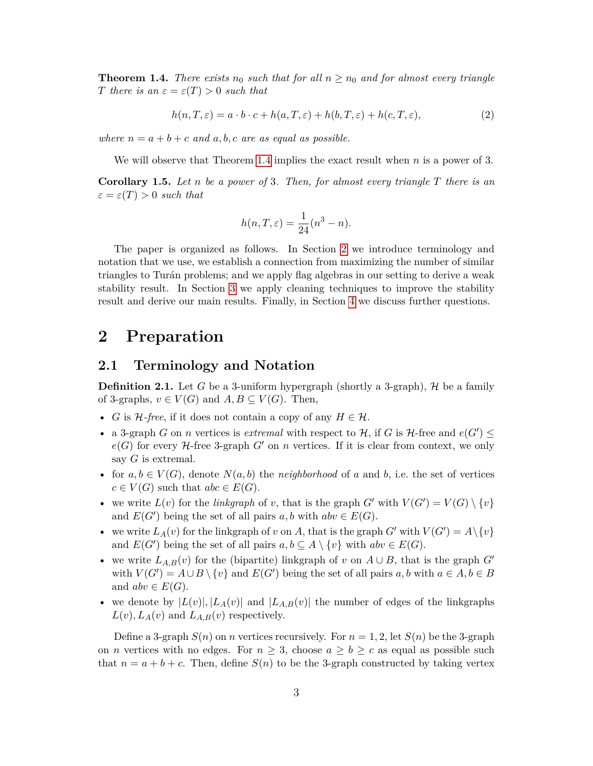<span id="page-2-0"></span>**Theorem 1.4.** *There exists*  $n_0$  *such that for all*  $n \geq n_0$  *and for almost every triangle T* there is an  $\varepsilon = \varepsilon(T) > 0$  *such that* 

$$
h(n,T,\varepsilon) = a \cdot b \cdot c + h(a,T,\varepsilon) + h(b,T,\varepsilon) + h(c,T,\varepsilon),\tag{2}
$$

*where*  $n = a + b + c$  *and*  $a, b, c$  *are as equal as possible.* 

We will observe that Theorem [1.4](#page-2-0) implies the exact result when *n* is a power of 3.

<span id="page-2-2"></span>**Corollary 1.5.** *Let n be a power of* 3*. Then, for almost every triangle T there is an*  $\varepsilon = \varepsilon(T) > 0$  *such that* 

<span id="page-2-3"></span>
$$
h(n,T,\varepsilon) = \frac{1}{24}(n^3 - n).
$$

The paper is organized as follows. In Section [2](#page-2-1) we introduce terminology and notation that we use, we establish a connection from maximizing the number of similar triangles to Turán problems; and we apply flag algebras in our setting to derive a weak stability result. In Section [3](#page-8-0) we apply cleaning techniques to improve the stability result and derive our main results. Finally, in Section [4](#page-16-0) we discuss further questions.

## <span id="page-2-1"></span>**2 Preparation**

#### **2.1 Terminology and Notation**

**Definition 2.1.** Let *G* be a 3-uniform hypergraph (shortly a 3-graph),  $H$  be a family of 3-graphs,  $v \in V(G)$  and  $A, B \subseteq V(G)$ . Then,

- *G* is  $H$ -free, if it does not contain a copy of any  $H \in \mathcal{H}$ .
- a 3-graph *G* on *n* vertices is *extremal* with respect to  $H$ , if *G* is  $H$ -free and  $e(G') \le$  $e(G)$  for every  $H$ -free 3-graph  $G'$  on  $n$  vertices. If it is clear from context, we only say *G* is extremal.
- for  $a, b \in V(G)$ , denote  $N(a, b)$  the *neighborhood* of a and b, i.e. the set of vertices  $c \in V(G)$  such that  $abc \in E(G)$ .
- we write  $L(v)$  for the *linkgraph* of *v*, that is the graph  $G'$  with  $V(G') = V(G) \setminus \{v\}$ and  $E(G')$  being the set of all pairs  $a, b$  with  $abv \in E(G)$ .
- we write  $L_A(v)$  for the linkgraph of *v* on *A*, that is the graph  $G'$  with  $V(G') = A \setminus \{v\}$ and  $E(G')$  being the set of all pairs  $a, b \subseteq A \setminus \{v\}$  with  $abv \in E(G)$ .
- we write  $L_{A,B}(v)$  for the (bipartite) linkgraph of *v* on  $A \cup B$ , that is the graph  $G'$ with  $V(G') = A \cup B \setminus \{v\}$  and  $E(G')$  being the set of all pairs  $a, b$  with  $a \in A, b \in B$ and  $abv \in E(G)$ .
- we denote by  $|L(v)|$ ,  $|L_A(v)|$  and  $|L_{A,B}(v)|$  the number of edges of the linkgraphs  $L(v)$ ,  $L_A(v)$  and  $L_{A,B}(v)$  respectively.

Define a 3-graph  $S(n)$  on *n* vertices recursively. For  $n = 1, 2$ , let  $S(n)$  be the 3-graph on *n* vertices with no edges. For  $n \geq 3$ , choose  $a \geq b \geq c$  as equal as possible such that  $n = a + b + c$ . Then, define  $S(n)$  to be the 3-graph constructed by taking vertex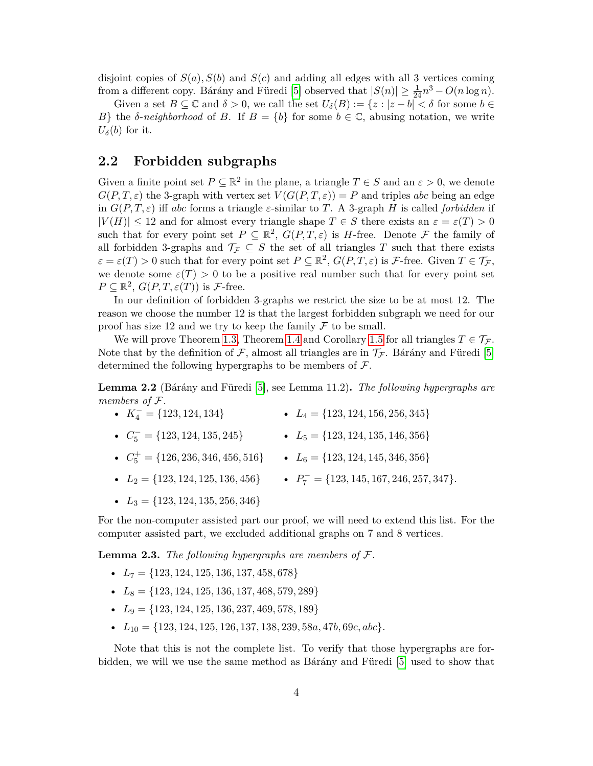disjoint copies of  $S(a)$ ,  $S(b)$  and  $S(c)$  and adding all edges with all 3 vertices coming from a different copy. Bárány and Füredi [\[5\]](#page-19-0) observed that  $|S(n)| \ge \frac{1}{24}n^3 - O(n \log n)$ .

Given a set  $B \subseteq \mathbb{C}$  and  $\delta > 0$ , we call the set  $U_{\delta}(B) := \{z : |z - b| < \delta \text{ for some } b \in \mathbb{C} \}$ *B*} the *δ*-*neighborhood* of *B*. If  $B = \{b\}$  for some  $b \in \mathbb{C}$ , abusing notation, we write  $U_{\delta}(b)$  for it.

### <span id="page-3-2"></span>**2.2 Forbidden subgraphs**

Given a finite point set  $P \subseteq \mathbb{R}^2$  in the plane, a triangle  $T \in S$  and an  $\varepsilon > 0$ , we denote  $G(P, T, \varepsilon)$  the 3-graph with vertex set  $V(G(P, T, \varepsilon)) = P$  and triples *abc* being an edge in  $G(P, T, \varepsilon)$  iff *abc* forms a triangle  $\varepsilon$ -similar to T. A 3-graph *H* is called *forbidden* if  $|V(H)| \leq 12$  and for almost every triangle shape  $T \in S$  there exists an  $\varepsilon = \varepsilon(T) > 0$ such that for every point set  $P \subseteq \mathbb{R}^2$ ,  $G(P,T,\varepsilon)$  is *H*-free. Denote F the family of all forbidden 3-graphs and  $\mathcal{T}_{\mathcal{F}} \subseteq S$  the set of all triangles T such that there exists  $\varepsilon = \varepsilon(T) > 0$  such that for every point set  $P \subseteq \mathbb{R}^2$ ,  $G(P, T, \varepsilon)$  is *F*-free. Given  $T \in \mathcal{T}_{\mathcal{F}}$ , we denote some  $\varepsilon(T) > 0$  to be a positive real number such that for every point set  $P \subseteq \mathbb{R}^2$ ,  $G(P, T, \varepsilon(T))$  is *F*-free.

In our definition of forbidden 3-graphs we restrict the size to be at most 12. The reason we choose the number 12 is that the largest forbidden subgraph we need for our proof has size 12 and we try to keep the family  $\mathcal F$  to be small.

We will prove Theorem [1.3,](#page-1-1) Theorem [1.4](#page-2-0) and Corollary [1.5](#page-2-2) for all triangles  $T \in \mathcal{T}_{\mathcal{F}}$ . Note that by the definition of F, almost all triangles are in  $\mathcal{T}_\mathcal{F}$ . Bárány and Füredi [\[5\]](#page-19-0) determined the following hypergraphs to be members of  $\mathcal{F}$ .

<span id="page-3-0"></span>**Lemma 2.2** (Bárány and Füredi [\[5\]](#page-19-0), see Lemma 11.2). The following hypergraphs are *members of* F*.*

- $K_4^- = \{123, 124, 134\}$ •  $L_4 = \{123, 124, 156, 256, 345\}$
- $C_5^- = \{123, 124, 135, 245\}$   $L_5 = \{123, 124, 135, 146, 356\}$
- $C_5^+ = \{126, 236, 346, 456, 516\}$   $L_6 = \{123, 124, 145, 346, 356\}$
- $L_2 = \{123, 124, 125, 136, 456\}$   $P_7^- = \{123, 145, 167, 246, 257, 347\}.$
- $L_3 = \{123, 124, 135, 256, 346\}$

For the non-computer assisted part our proof, we will need to extend this list. For the computer assisted part, we excluded additional graphs on 7 and 8 vertices.

<span id="page-3-1"></span>**Lemma 2.3.** *The following hypergraphs are members of* F*.*

- $L_7 = \{123, 124, 125, 136, 137, 458, 678\}$
- $L_8 = \{123, 124, 125, 136, 137, 468, 579, 289\}$
- $L_9 = \{123, 124, 125, 136, 237, 469, 578, 189\}$
- $L_{10} = \{123, 124, 125, 126, 137, 138, 239, 58a, 47b, 69c, abc\}.$

Note that this is not the complete list. To verify that those hypergraphs are forbidden, we will we use the same method as Barany and Füredi  $[5]$  used to show that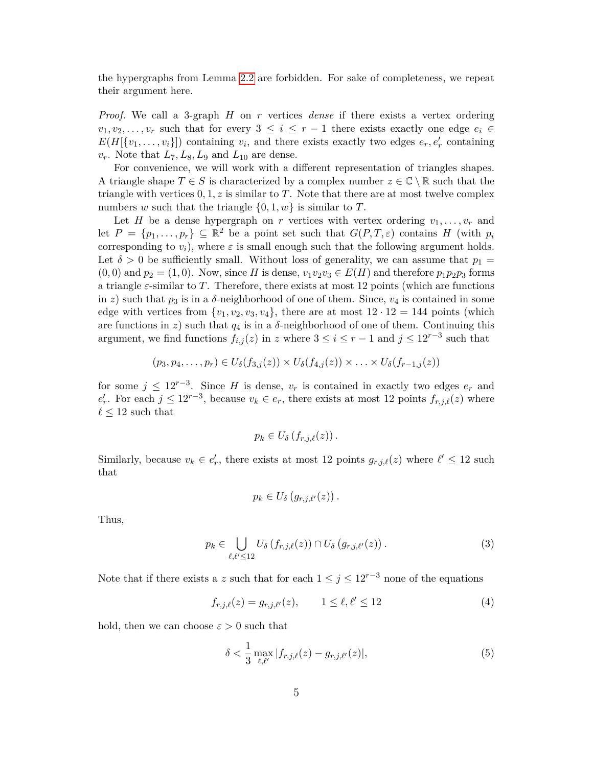the hypergraphs from Lemma [2.2](#page-3-0) are forbidden. For sake of completeness, we repeat their argument here.

*Proof.* We call a 3-graph *H* on *r* vertices *dense* if there exists a vertex ordering  $v_1, v_2, \ldots, v_r$  such that for every  $3 \leq i \leq r-1$  there exists exactly one edge  $e_i \in$  $E(H[\{v_1, \ldots, v_i\}])$  containing  $v_i$ , and there exists exactly two edges  $e_r, e'_r$  containing  $v_r$ . Note that  $L_7, L_8, L_9$  and  $L_{10}$  are dense.

For convenience, we will work with a different representation of triangles shapes. A triangle shape  $T \in S$  is characterized by a complex number  $z \in \mathbb{C} \setminus \mathbb{R}$  such that the triangle with vertices  $0, 1, z$  is similar to  $T$ . Note that there are at most twelve complex numbers *w* such that the triangle  $\{0, 1, w\}$  is similar to *T*.

Let *H* be a dense hypergraph on *r* vertices with vertex ordering  $v_1, \ldots, v_r$  and let  $P = \{p_1, \ldots, p_r\} \subseteq \mathbb{R}^2$  be a point set such that  $G(P, T, \varepsilon)$  contains *H* (with  $p_i$ ) corresponding to  $v_i$ , where  $\varepsilon$  is small enough such that the following argument holds. Let  $\delta > 0$  be sufficiently small. Without loss of generality, we can assume that  $p_1 =$  $(0,0)$  and  $p_2 = (1,0)$ . Now, since *H* is dense,  $v_1v_2v_3 \in E(H)$  and therefore  $p_1p_2p_3$  forms a triangle *ε*-similar to *T*. Therefore, there exists at most 12 points (which are functions in *z*) such that  $p_3$  is in a  $\delta$ -neighborhood of one of them. Since,  $v_4$  is contained in some edge with vertices from  $\{v_1, v_2, v_3, v_4\}$ , there are at most  $12 \cdot 12 = 144$  points (which are functions in  $z$ ) such that  $q_4$  is in a  $\delta$ -neighborhood of one of them. Continuing this argument, we find functions  $f_{i,j}(z)$  in  $z$  where  $3 \leq i \leq r-1$  and  $j \leq 12^{r-3}$  such that

$$
(p_3, p_4, \ldots, p_r) \in U_{\delta}(f_{3,j}(z)) \times U_{\delta}(f_{4,j}(z)) \times \ldots \times U_{\delta}(f_{r-1,j}(z))
$$

for some  $j \leq 12^{r-3}$ . Since *H* is dense,  $v_r$  is contained in exactly two edges  $e_r$  and  $e'_r$ . For each  $j \leq 12^{r-3}$ , because  $v_k \in e_r$ , there exists at most 12 points  $f_{r,j,\ell}(z)$  where  $\ell \leq 12$  such that

$$
p_k \in U_{\delta}\left(f_{r,j,\ell}(z)\right).
$$

Similarly, because  $v_k \in e'_r$ , there exists at most 12 points  $g_{r,j,\ell}(z)$  where  $\ell' \leq 12$  such that

<span id="page-4-2"></span><span id="page-4-0"></span>
$$
p_k \in U_{\delta}\left(g_{r,j,\ell'}(z)\right).
$$

Thus,

$$
p_k \in \bigcup_{\ell,\ell' \leq 12} U_{\delta}\left(f_{r,j,\ell}(z)\right) \cap U_{\delta}\left(g_{r,j,\ell'}(z)\right). \tag{3}
$$

Note that if there exists a *z* such that for each  $1 \leq j \leq 12^{r-3}$  none of the equations

$$
f_{r,j,\ell}(z) = g_{r,j,\ell'}(z), \qquad 1 \le \ell, \ell' \le 12 \tag{4}
$$

hold, then we can choose  $\varepsilon > 0$  such that

<span id="page-4-1"></span>
$$
\delta < \frac{1}{3} \max_{\ell, \ell'} |f_{r,j,\ell}(z) - g_{r,j,\ell'}(z)|,\tag{5}
$$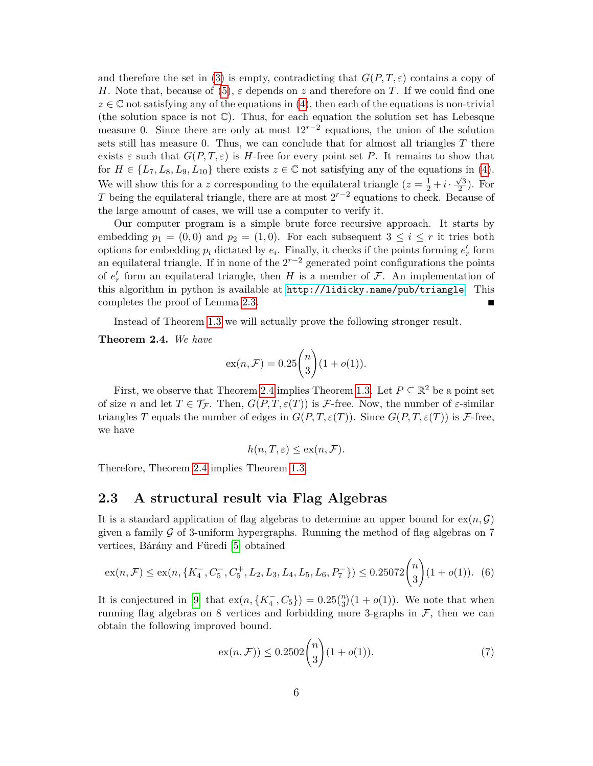and therefore the set in [\(3\)](#page-4-0) is empty, contradicting that  $G(P, T, \varepsilon)$  contains a copy of *H*. Note that, because of [\(5\)](#page-4-1),  $\varepsilon$  depends on *z* and therefore on *T*. If we could find one  $z \in \mathbb{C}$  not satisfying any of the equations in [\(4\)](#page-4-2), then each of the equations is non-trivial (the solution space is not  $\mathbb{C}$ ). Thus, for each equation the solution set has Lebesque measure 0. Since there are only at most  $12^{r-2}$  equations, the union of the solution sets still has measure 0. Thus, we can conclude that for almost all triangles *T* there exists  $\varepsilon$  such that  $G(P, T, \varepsilon)$  is *H*-free for every point set *P*. It remains to show that for  $H \in \{L_7, L_8, L_9, L_{10}\}\$  there exists  $z \in \mathbb{C}$  not satisfying any of the equations in [\(4\)](#page-4-2). We will show this for a *z* corresponding to the equilateral triangle  $(z = \frac{1}{2} + i \cdot \frac{\sqrt{3}}{2})$  $\frac{\sqrt{3}}{2}$ ). For *T* being the equilateral triangle, there are at most 2*r*−<sup>2</sup> equations to check. Because of the large amount of cases, we will use a computer to verify it.

Our computer program is a simple brute force recursive approach. It starts by embedding  $p_1 = (0,0)$  and  $p_2 = (1,0)$ . For each subsequent  $3 \leq i \leq r$  it tries both options for embedding  $p_i$  dictated by  $e_i$ . Finally, it checks if the points forming  $e'_r$  form an equilateral triangle. If in none of the  $2^{r-2}$  generated point configurations the points of  $e'$  form an equilateral triangle, then *H* is a member of  $\mathcal{F}$ . An implementation of this algorithm in python is available at <http://lidicky.name/pub/triangle>. This completes the proof of Lemma [2.3.](#page-3-1)

Instead of Theorem [1.3](#page-1-1) we will actually prove the following stronger result.

<span id="page-5-0"></span>**Theorem 2.4.** *We have*

$$
\operatorname{ex}(n, \mathcal{F}) = 0.25 \binom{n}{3} (1 + o(1)).
$$

First, we observe that Theorem [2.4](#page-5-0) implies Theorem [1.3.](#page-1-1) Let  $P \subseteq \mathbb{R}^2$  be a point set of size *n* and let  $T \in \mathcal{T}_{\mathcal{F}}$ . Then,  $G(P, T, \varepsilon(T))$  is *F*-free. Now, the number of  $\varepsilon$ -similar triangles *T* equals the number of edges in  $G(P, T, \varepsilon(T))$ . Since  $G(P, T, \varepsilon(T))$  is *F*-free, we have

<span id="page-5-1"></span>
$$
h(n, T, \varepsilon) \le \exp(n, \mathcal{F}).
$$

Therefore, Theorem [2.4](#page-5-0) implies Theorem [1.3.](#page-1-1)

### **2.3 A structural result via Flag Algebras**

It is a standard application of flag algebras to determine an upper bound for  $ex(n, \mathcal{G})$ given a family  $\mathcal G$  of 3-uniform hypergraphs. Running the method of flag algebras on 7 vertices, Bárány and Füredi [\[5\]](#page-19-0) obtained

$$
ex(n, \mathcal{F}) \le ex(n, \{K_4^-, C_5^-, C_5^+, L_2, L_3, L_4, L_5, L_6, P_7^-\}) \le 0.25072 \binom{n}{3} (1 + o(1)).
$$
 (6)

It is conjectured in [\[9\]](#page-19-11) that  $ex(n, \{K_4^-, C_5\}) = 0.25\binom{n}{3}(1 + o(1))$ . We note that when running flag algebras on 8 vertices and forbidding more 3-graphs in  $\mathcal{F}$ , then we can obtain the following improved bound.

<span id="page-5-2"></span>
$$
ex(n, \mathcal{F})) \le 0.2502 {n \choose 3} (1 + o(1)). \tag{7}
$$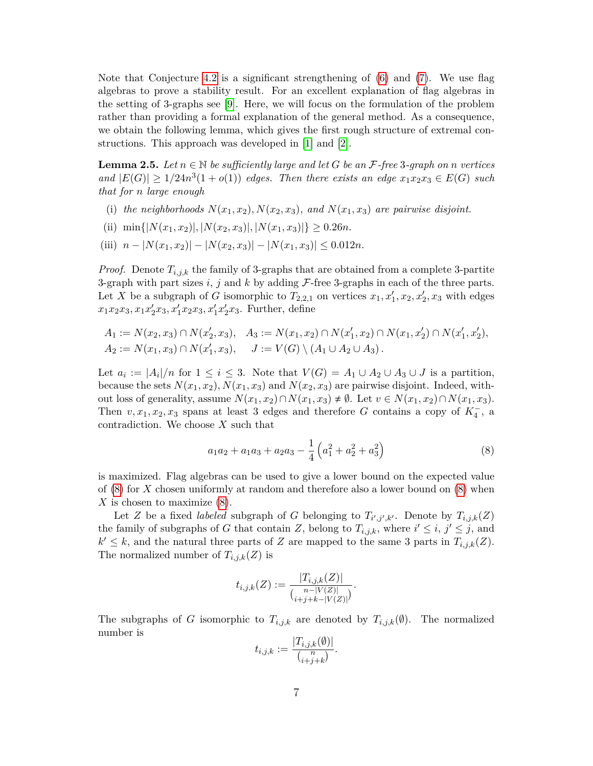Note that Conjecture [4.2](#page-17-0) is a significant strengthening of  $(6)$  and  $(7)$ . We use flag algebras to prove a stability result. For an excellent explanation of flag algebras in the setting of 3-graphs see [\[9\]](#page-19-11). Here, we will focus on the formulation of the problem rather than providing a formal explanation of the general method. As a consequence, we obtain the following lemma, which gives the first rough structure of extremal constructions. This approach was developed in [\[1\]](#page-19-9) and [\[2\]](#page-19-10).

<span id="page-6-1"></span>**Lemma 2.5.** Let  $n \in \mathbb{N}$  be sufficiently large and let G be an  $\mathcal{F}$ -free 3-graph on *n* vertices  $\{F(G) \geq 1/24n^3(1+o(1))\}$  *edges. Then there exists an edge*  $x_1x_2x_3 \in E(G)$  *such that for n large enough*

- (i) the neighborhoods  $N(x_1, x_2)$ ,  $N(x_2, x_3)$ , and  $N(x_1, x_3)$  are pairwise disjoint.
- (ii)  $\min\{|N(x_1, x_2)|, |N(x_2, x_3)|, |N(x_1, x_3)|\} \ge 0.26n$ .
- $(iii)$   $n |N(x_1, x_2)| |N(x_2, x_3)| |N(x_1, x_3)| \leq 0.012n$ .

*Proof.* Denote *Ti,j,k* the family of 3-graphs that are obtained from a complete 3-partite 3-graph with part sizes *i*, *j* and *k* by adding F-free 3-graphs in each of the three parts. Let *X* be a subgraph of *G* isomorphic to  $T_{2,2,1}$  on vertices  $x_1, x_1', x_2, x_2', x_3$  with edges  $x_1x_2x_3, x_1x_2x_3, x_1'x_2x_3, x_1'x_2x_3$ . Further, define

$$
A_1 := N(x_2, x_3) \cap N(x'_2, x_3), \quad A_3 := N(x_1, x_2) \cap N(x'_1, x_2) \cap N(x_1, x'_2) \cap N(x'_1, x'_2),
$$
  

$$
A_2 := N(x_1, x_3) \cap N(x'_1, x_3), \quad J := V(G) \setminus (A_1 \cup A_2 \cup A_3).
$$

Let  $a_i := |A_i|/n$  for  $1 \leq i \leq 3$ . Note that  $V(G) = A_1 \cup A_2 \cup A_3 \cup J$  is a partition, because the sets  $N(x_1, x_2)$ ,  $N(x_1, x_3)$  and  $N(x_2, x_3)$  are pairwise disjoint. Indeed, without loss of generality, assume  $N(x_1, x_2) \cap N(x_1, x_3) \neq \emptyset$ . Let  $v \in N(x_1, x_2) \cap N(x_1, x_3)$ . Then  $v, x_1, x_2, x_3$  spans at least 3 edges and therefore *G* contains a copy of  $K_4^-$ , a contradiction. We choose *X* such that

<span id="page-6-0"></span>
$$
a_1a_2 + a_1a_3 + a_2a_3 - \frac{1}{4} \left( a_1^2 + a_2^2 + a_3^2 \right)
$$
 (8)

is maximized. Flag algebras can be used to give a lower bound on the expected value of [\(8\)](#page-6-0) for *X* chosen uniformly at random and therefore also a lower bound on [\(8\)](#page-6-0) when *X* is chosen to maximize [\(8\)](#page-6-0).

Let *Z* be a fixed *labeled* subgraph of *G* belonging to  $T_{i',j',k'}$ . Denote by  $T_{i,j,k}(Z)$ the family of subgraphs of *G* that contain *Z*, belong to  $T_{i,j,k}$ , where  $i' \leq i, j' \leq j$ , and  $k' \leq k$ , and the natural three parts of *Z* are mapped to the same 3 parts in  $T_{i,j,k}(Z)$ . The normalized number of  $T_{i,j,k}(Z)$  is

$$
t_{i,j,k}(Z) := \frac{|T_{i,j,k}(Z)|}{\binom{n-|V(Z)|}{i+j+k-|V(Z)|}}.
$$

The subgraphs of *G* isomorphic to  $T_{i,j,k}$  are denoted by  $T_{i,j,k}(\emptyset)$ . The normalized number is

$$
t_{i,j,k} := \frac{|T_{i,j,k}(\emptyset)|}{\binom{n}{i+j+k}}.
$$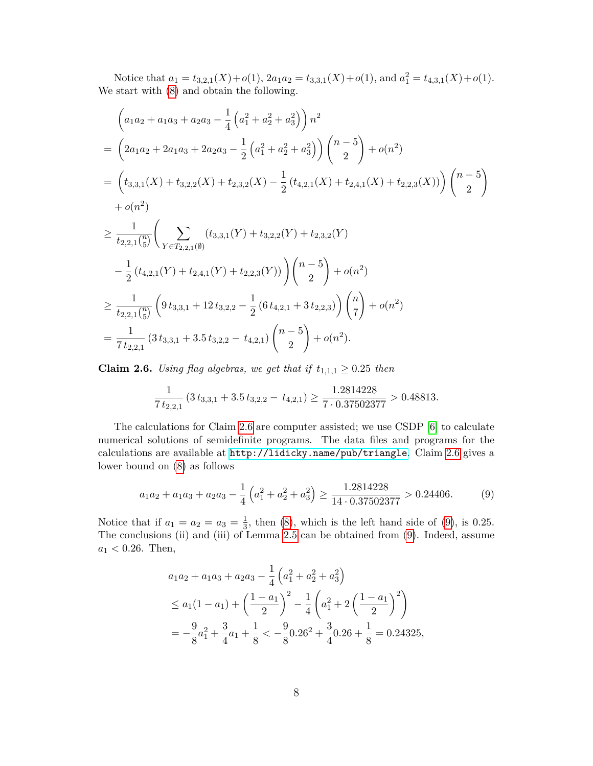Notice that  $a_1 = t_{3,2,1}(X) + o(1)$ ,  $2a_1a_2 = t_{3,3,1}(X) + o(1)$ , and  $a_1^2 = t_{4,3,1}(X) + o(1)$ . We start with [\(8\)](#page-6-0) and obtain the following.

$$
\left(a_{1}a_{2} + a_{1}a_{3} + a_{2}a_{3} - \frac{1}{4}\left(a_{1}^{2} + a_{2}^{2} + a_{3}^{2}\right)\right)n^{2}
$$
\n
$$
= \left(2a_{1}a_{2} + 2a_{1}a_{3} + 2a_{2}a_{3} - \frac{1}{2}\left(a_{1}^{2} + a_{2}^{2} + a_{3}^{2}\right)\right)\left(\begin{matrix}n-5\\2\end{matrix}\right) + o(n^{2})
$$
\n
$$
= \left(t_{3,3,1}(X) + t_{3,2,2}(X) + t_{2,3,2}(X) - \frac{1}{2}\left(t_{4,2,1}(X) + t_{2,4,1}(X) + t_{2,2,3}(X)\right)\right)\left(\begin{matrix}n-5\\2\end{matrix}\right)
$$
\n
$$
+ o(n^{2})
$$
\n
$$
\geq \frac{1}{t_{2,2,1}\binom{n}{5}} \left(\sum_{Y \in T_{2,2,1}(0)} (t_{3,3,1}(Y) + t_{3,2,2}(Y) + t_{2,3,2}(Y) - \frac{1}{2}\left(t_{4,2,1}(Y) + t_{2,4,1}(Y) + t_{2,2,3}(Y)\right)\right)\left(\begin{matrix}n-5\\2\end{matrix}\right) + o(n^{2})
$$
\n
$$
\geq \frac{1}{t_{2,2,1}\binom{n}{5}} \left(9\,t_{3,3,1} + 12\,t_{3,2,2} - \frac{1}{2}\left(6\,t_{4,2,1} + 3\,t_{2,2,3}\right)\right)\left(\begin{matrix}n\\7\end{matrix}\right) + o(n^{2})
$$
\n
$$
= \frac{1}{7\,t_{2,2,1}} (3\,t_{3,3,1} + 3.5\,t_{3,2,2} - t_{4,2,1}) \left(\begin{matrix}n-5\\2\end{matrix}\right) + o(n^{2}).
$$

<span id="page-7-0"></span>**Claim 2.6.** *Using flag algebras, we get that if*  $t_{1,1,1} \geq 0.25$  *then* 

$$
\frac{1}{7 t_{2,2,1}} \left(3 t_{3,3,1} + 3.5 t_{3,2,2} - t_{4,2,1}\right) \ge \frac{1.2814228}{7 \cdot 0.37502377} > 0.48813.
$$

The calculations for Claim [2.6](#page-7-0) are computer assisted; we use CSDP [\[6\]](#page-19-12) to calculate numerical solutions of semidefinite programs. The data files and programs for the calculations are available at <http://lidicky.name/pub/triangle>. Claim [2.6](#page-7-0) gives a lower bound on [\(8\)](#page-6-0) as follows

$$
a_1 a_2 + a_1 a_3 + a_2 a_3 - \frac{1}{4} \left( a_1^2 + a_2^2 + a_3^2 \right) \ge \frac{1.2814228}{14 \cdot 0.37502377} > 0.24406. \tag{9}
$$

Notice that if  $a_1 = a_2 = a_3 = \frac{1}{3}$  $\frac{1}{3}$ , then [\(8\)](#page-6-0), which is the left hand side of [\(9\)](#page-7-1), is 0.25. The conclusions (ii) and (iii) of Lemma [2.5](#page-6-1) can be obtained from [\(9\)](#page-7-1). Indeed, assume  $a_1 < 0.26$ . Then,

<span id="page-7-1"></span>
$$
a_1a_2 + a_1a_3 + a_2a_3 - \frac{1}{4} \left( a_1^2 + a_2^2 + a_3^2 \right)
$$
  
\n
$$
\le a_1(1 - a_1) + \left( \frac{1 - a_1}{2} \right)^2 - \frac{1}{4} \left( a_1^2 + 2 \left( \frac{1 - a_1}{2} \right)^2 \right)
$$
  
\n
$$
= -\frac{9}{8}a_1^2 + \frac{3}{4}a_1 + \frac{1}{8} < -\frac{9}{8}0.26^2 + \frac{3}{4}0.26 + \frac{1}{8} = 0.24325,
$$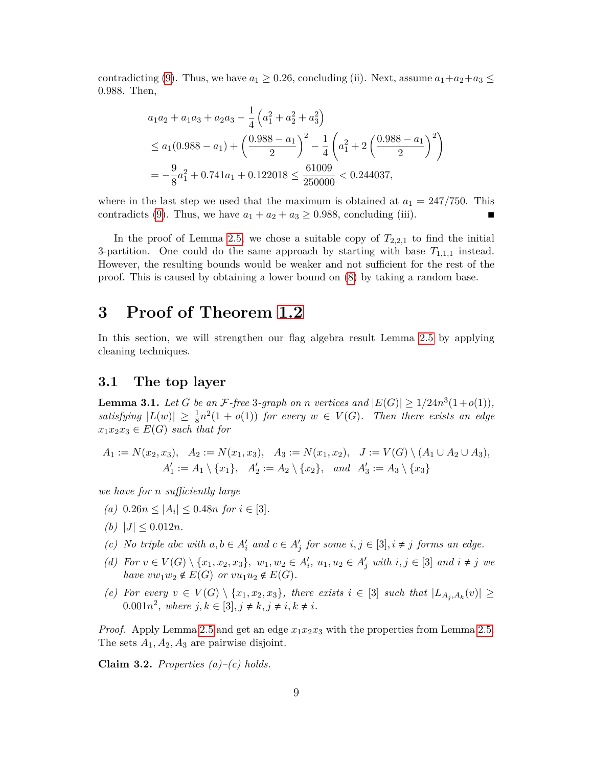contradicting [\(9\)](#page-7-1). Thus, we have  $a_1 \geq 0.26$ , concluding (ii). Next, assume  $a_1 + a_2 + a_3 \leq$ 0*.*988. Then,

$$
a_1a_2 + a_1a_3 + a_2a_3 - \frac{1}{4} \left( a_1^2 + a_2^2 + a_3^2 \right)
$$
  
\n
$$
\le a_1(0.988 - a_1) + \left( \frac{0.988 - a_1}{2} \right)^2 - \frac{1}{4} \left( a_1^2 + 2 \left( \frac{0.988 - a_1}{2} \right)^2 \right)
$$
  
\n
$$
= -\frac{9}{8} a_1^2 + 0.741a_1 + 0.122018 \le \frac{61009}{250000} < 0.244037,
$$

where in the last step we used that the maximum is obtained at  $a_1 = 247/750$ . This contradicts [\(9\)](#page-7-1). Thus, we have  $a_1 + a_2 + a_3 \geq 0.988$ , concluding (iii).

In the proof of Lemma [2.5,](#page-6-1) we chose a suitable copy of  $T_{2,2,1}$  to find the initial 3-partition. One could do the same approach by starting with base  $T_{1,1,1}$  instead. However, the resulting bounds would be weaker and not sufficient for the rest of the proof. This is caused by obtaining a lower bound on [\(8\)](#page-6-0) by taking a random base.

### <span id="page-8-0"></span>**3 Proof of Theorem [1.2](#page-1-2)**

In this section, we will strengthen our flag algebra result Lemma [2.5](#page-6-1) by applying cleaning techniques.

### **3.1 The top layer**

<span id="page-8-2"></span>**Lemma 3.1.** Let G be an F-free 3-graph on *n* vertices and  $|E(G)| \geq 1/24n^3(1+o(1))$ , satisfying  $|L(w)| \geq \frac{1}{8}n^2(1 + o(1))$  for every  $w \in V(G)$ . Then there exists an edge  $x_1x_2x_3 \in E(G)$  *such that for* 

$$
A_1 := N(x_2, x_3), \quad A_2 := N(x_1, x_3), \quad A_3 := N(x_1, x_2), \quad J := V(G) \setminus (A_1 \cup A_2 \cup A_3),
$$
  

$$
A'_1 := A_1 \setminus \{x_1\}, \quad A'_2 := A_2 \setminus \{x_2\}, \quad and \quad A'_3 := A_3 \setminus \{x_3\}
$$

*we have for n sufficiently large*

- $(a)$  0.26 $n \leq |A_i| \leq 0.48n$  *for*  $i \in [3]$ *.*
- $(b)$   $|J| \leq 0.012n$ .
- *(c) No triple abc with*  $a, b \in A'_i$  *and*  $c \in A'_j$  *for some*  $i, j \in [3], i \neq j$  *forms an edge.*
- (d) For  $v \in V(G) \setminus \{x_1, x_2, x_3\}, w_1, w_2 \in A'_i, u_1, u_2 \in A'_j$  with  $i, j \in [3]$  and  $i \neq j$  we *have*  $vw_1w_2 \notin E(G)$  *or*  $vu_1u_2 \notin E(G)$ *.*
- *(e) For every*  $v \in V(G) \setminus \{x_1, x_2, x_3\}$ , there exists  $i \in [3]$  *such that*  $|L_{A_j, A_k}(v)| ≥$ 0.001 $n^2$ , where  $j, k \in [3], j \neq k, j \neq i, k \neq i$ .

*Proof.* Apply Lemma [2.5](#page-6-1) and get an edge *x*1*x*2*x*<sup>3</sup> with the properties from Lemma [2.5.](#page-6-1) The sets *A*1*, A*2*, A*<sup>3</sup> are pairwise disjoint.

<span id="page-8-1"></span>**Claim 3.2.** *Properties (a)–(c) holds.*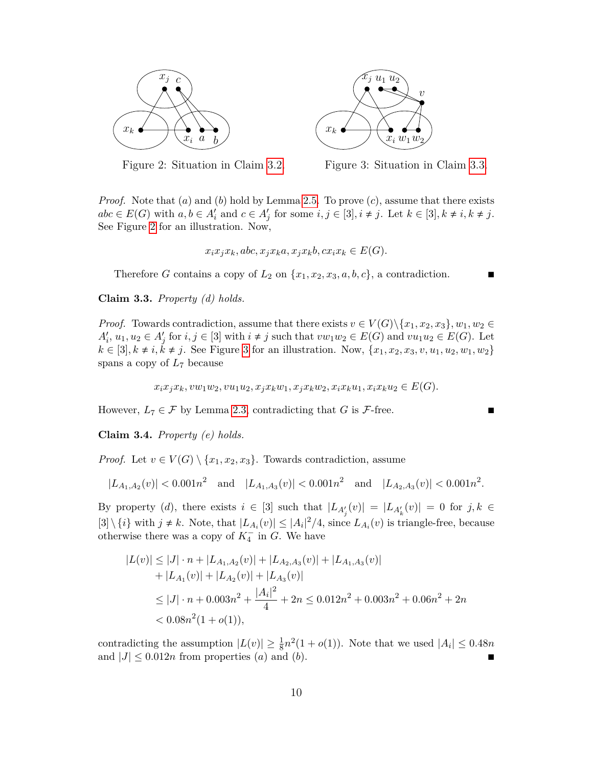<span id="page-9-1"></span>

Figure 2: Situation in Claim [3.2.](#page-8-1)



Figure 3: Situation in Claim [3.3.](#page-9-0)

*Proof.* Note that (*a*) and (*b*) hold by Lemma [2.5.](#page-6-1) To prove (*c*), assume that there exists  $abc \in E(G)$  with  $a, b \in A'_i$  and  $c \in A'_j$  for some  $i, j \in [3], i \neq j$ . Let  $k \in [3], k \neq i, k \neq j$ . See Figure [2](#page-9-1) for an illustration. Now,

$$
x_i x_j x_k, abc, x_j x_k a, x_j x_k b, cx_i x_k \in E(G).
$$

Therefore *G* contains a copy of  $L_2$  on  $\{x_1, x_2, x_3, a, b, c\}$ , a contradiction.

<span id="page-9-0"></span>**Claim 3.3.** *Property (d) holds.*

*Proof.* Towards contradiction, assume that there exists  $v \in V(G) \setminus \{x_1, x_2, x_3\}, w_1, w_2 \in$  $A'_i, u_1, u_2 \in A'_j$  for  $i, j \in [3]$  with  $i \neq j$  such that  $vw_1w_2 \in E(G)$  and  $vu_1u_2 \in E(G)$ . Let  $k \in [3], k \neq i, k \neq j$ . See Figure [3](#page-9-1) for an illustration. Now,  $\{x_1, x_2, x_3, v, u_1, u_2, w_1, w_2\}$ spans a copy of *L*<sup>7</sup> because

$$
x_i x_j x_k, v w_1 w_2, v u_1 u_2, x_j x_k w_1, x_j x_k w_2, x_i x_k u_1, x_i x_k u_2 \in E(G).
$$

However,  $L_7 \in \mathcal{F}$  by Lemma [2.3,](#page-3-1) contradicting that *G* is  $\mathcal{F}$ -free.

**Claim 3.4.** *Property (e) holds.*

*Proof.* Let  $v \in V(G) \setminus \{x_1, x_2, x_3\}$ . Towards contradiction, assume

$$
|L_{A_1,A_2}(v)| < 0.001n^2 \quad \text{and} \quad |L_{A_1,A_3}(v)| < 0.001n^2 \quad \text{and} \quad |L_{A_2,A_3}(v)| < 0.001n^2.
$$

By property (*d*), there exists  $i \in [3]$  such that  $|L_{A_j'}(v)| = |L_{A_k'}(v)| = 0$  for  $j, k \in$  $[3] \setminus \{i\}$  with  $j \neq k$ . Note, that  $|L_{A_i}(v)| \leq |A_i|^2/4$ , since  $L_{A_i}(v)$  is triangle-free, because otherwise there was a copy of  $K_4^-$  in *G*. We have

$$
|L(v)| \le |J| \cdot n + |L_{A_1, A_2}(v)| + |L_{A_2, A_3}(v)| + |L_{A_1, A_3}(v)|
$$
  
+ |L\_{A\_1}(v)| + |L\_{A\_2}(v)| + |L\_{A\_3}(v)|  

$$
\le |J| \cdot n + 0.003n^2 + \frac{|A_i|^2}{4} + 2n \le 0.012n^2 + 0.003n^2 + 0.06n^2 + 2n
$$
  
< 0.08n<sup>2</sup>(1 + o(1)),

contradicting the assumption  $|L(v)| \geq \frac{1}{8}n^2(1 + o(1))$ . Note that we used  $|A_i| \leq 0.48n$ and  $|J| \leq 0.012n$  from properties (*a*) and (*b*).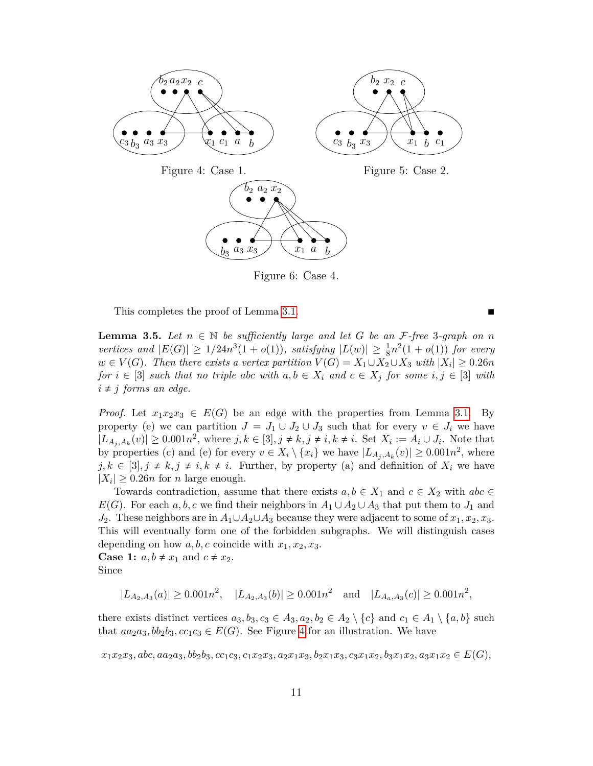<span id="page-10-0"></span>

Figure 6: Case 4.

This completes the proof of Lemma [3.1.](#page-8-2)

<span id="page-10-1"></span>**Lemma 3.5.** Let  $n \in \mathbb{N}$  be sufficiently large and let G be an F-free 3-graph on n *vertices and*  $|E(G)| \ge 1/24n^3(1+o(1))$ *, satisfying*  $|L(w)| \ge \frac{1}{8}n^2(1+o(1))$  *for every*  $w \in V(G)$ *. Then there exists a vertex partition*  $V(G) = X_1 \cup X_2 \cup X_3$  *with*  $|X_i| \geq 0.26n$ *for*  $i \in [3]$  *such that no triple abc with*  $a, b \in X_i$  *and*  $c \in X_j$  *for some*  $i, j \in [3]$  *with*  $i \neq j$  *forms an edge.* 

*Proof.* Let  $x_1x_2x_3 \in E(G)$  be an edge with the properties from Lemma [3.1.](#page-8-2) By property (e) we can partition  $J = J_1 \cup J_2 \cup J_3$  such that for every  $v \in J_i$  we have  $|L_{A_j,A_k}(v)| \geq 0.001n^2$ , where  $j, k \in [3], j \neq k, j \neq i, k \neq i$ . Set  $X_i := A_i \cup J_i$ . Note that by properties (c) and (e) for every  $v \in X_i \setminus \{x_i\}$  we have  $|L_{A_j, A_k}(v)| \ge 0.001n^2$ , where  $j, k \in [3], j \neq k, j \neq i, k \neq i$ . Further, by property (a) and definition of  $X_i$  we have  $|X_i| \geq 0.26n$  for *n* large enough.

Towards contradiction, assume that there exists  $a, b \in X_1$  and  $c \in X_2$  with  $abc \in$ *E*(*G*). For each *a, b, c* we find their neighbors in  $A_1 \cup A_2 \cup A_3$  that put them to *J*<sub>1</sub> and *J*2. These neighbors are in *A*1∪*A*2∪*A*<sup>3</sup> because they were adjacent to some of *x*1*, x*2*, x*3. This will eventually form one of the forbidden subgraphs. We will distinguish cases depending on how  $a, b, c$  coincide with  $x_1, x_2, x_3$ .

**Case 1:**  $a, b \neq x_1$  and  $c \neq x_2$ . Since

 $|L_{A_2,A_3}(a)| \ge 0.001n^2$ ,  $|L_{A_2,A_3}(b)| \ge 0.001n^2$  and  $|L_{A_a,A_3}(c)| \ge 0.001n^2$ ,

there exists distinct vertices  $a_3, b_3, c_3 \in A_3, a_2, b_2 \in A_2 \setminus \{c\}$  and  $c_1 \in A_1 \setminus \{a, b\}$  such that  $aa_2a_3$ ,  $bb_2b_3$ ,  $cc_1c_3 \in E(G)$ . See Figure [4](#page-10-0) for an illustration. We have

 $x_1x_2x_3, abc, aa_2a_3, bb_2b_3, cc_1c_3, c_1x_2x_3, a_2x_1x_3, b_2x_1x_3, c_3x_1x_2, b_3x_1x_2, a_3x_1x_2 \in E(G),$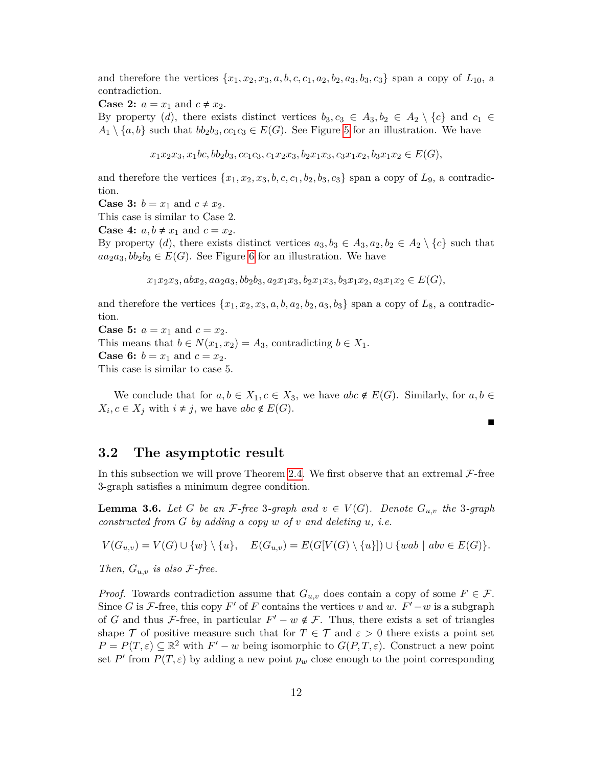and therefore the vertices  $\{x_1, x_2, x_3, a, b, c, c_1, a_2, b_2, a_3, b_3, c_3\}$  span a copy of  $L_{10}$ , a contradiction.

**Case 2:**  $a = x_1$  and  $c \neq x_2$ .

By property (*d*), there exists distinct vertices  $b_3, c_3 \in A_3, b_2 \in A_2 \setminus \{c\}$  and  $c_1 \in$  $A_1 \setminus \{a, b\}$  such that  $bb_2b_3$ ,  $cc_1c_3 \in E(G)$ . See Figure [5](#page-10-0) for an illustration. We have

 $x_1x_2x_3, x_1bc, bb_2b_3, cc_1c_3, c_1x_2x_3, b_2x_1x_3, c_3x_1x_2, b_3x_1x_2 \in E(G),$ 

and therefore the vertices  $\{x_1, x_2, x_3, b, c, c_1, b_2, b_3, c_3\}$  span a copy of  $L_9$ , a contradiction.

**Case 3:**  $b = x_1$  and  $c \neq x_2$ .

This case is similar to Case 2.

**Case 4:**  $a, b \neq x_1$  and  $c = x_2$ .

By property (*d*), there exists distinct vertices  $a_3, b_3 \in A_3, a_2, b_2 \in A_2 \setminus \{c\}$  such that  $aa_2a_3, bb_2b_3 \in E(G)$ . See Figure [6](#page-10-0) for an illustration. We have

 $x_1x_2x_3, abx_2, aa_2a_3, bb_2b_3, a_2x_1x_3, b_2x_1x_3, b_3x_1x_2, a_3x_1x_2 \in E(G),$ 

and therefore the vertices  $\{x_1, x_2, x_3, a, b, a_2, b_2, a_3, b_3\}$  span a copy of  $L_8$ , a contradiction.

**Case 5:**  $a = x_1$  and  $c = x_2$ . This means that  $b \in N(x_1, x_2) = A_3$ , contradicting  $b \in X_1$ . **Case 6:**  $b = x_1$  and  $c = x_2$ . This case is similar to case 5.

We conclude that for  $a, b \in X_1, c \in X_3$ , we have  $abc \notin E(G)$ . Similarly, for  $a, b \in$  $X_i, c \in X_j$  with  $i \neq j$ , we have  $abc \notin E(G)$ .

 $\blacksquare$ 

#### **3.2 The asymptotic result**

In this subsection we will prove Theorem [2.4.](#page-5-0) We first observe that an extremal  $\mathcal{F}\text{-free}$ 3-graph satisfies a minimum degree condition.

<span id="page-11-0"></span>**Lemma 3.6.** *Let G be an F*-free 3-graph and  $v \in V(G)$ . Denote  $G_{u,v}$  the 3-graph *constructed from G by adding a copy w of v and deleting u, i.e.*

 $V(G_{u,v}) = V(G) \cup \{w\} \setminus \{u\}, \quad E(G_{u,v}) = E(G[V(G) \setminus \{u\}]) \cup \{wab \mid abv \in E(G)\}.$ 

*Then,*  $G_{u,v}$  *is also*  $\mathcal{F}\text{-}free$ .

*Proof.* Towards contradiction assume that  $G_{u,v}$  does contain a copy of some  $F \in \mathcal{F}$ . Since *G* is *F*-free, this copy *F*<sup> $\prime$ </sup> of *F* contains the vertices *v* and *w*. *F*<sup> $\prime$ </sup> − *w* is a subgraph of *G* and thus *F*-free, in particular  $F' - w \notin F$ . Thus, there exists a set of triangles shape T of positive measure such that for  $T \in \mathcal{T}$  and  $\varepsilon > 0$  there exists a point set  $P = P(T, \varepsilon) \subseteq \mathbb{R}^2$  with  $F' - w$  being isomorphic to  $G(P, T, \varepsilon)$ . Construct a new point set *P*<sup> $\prime$ </sup> from *P*(*T*,  $\varepsilon$ ) by adding a new point *p<sub>w</sub>* close enough to the point corresponding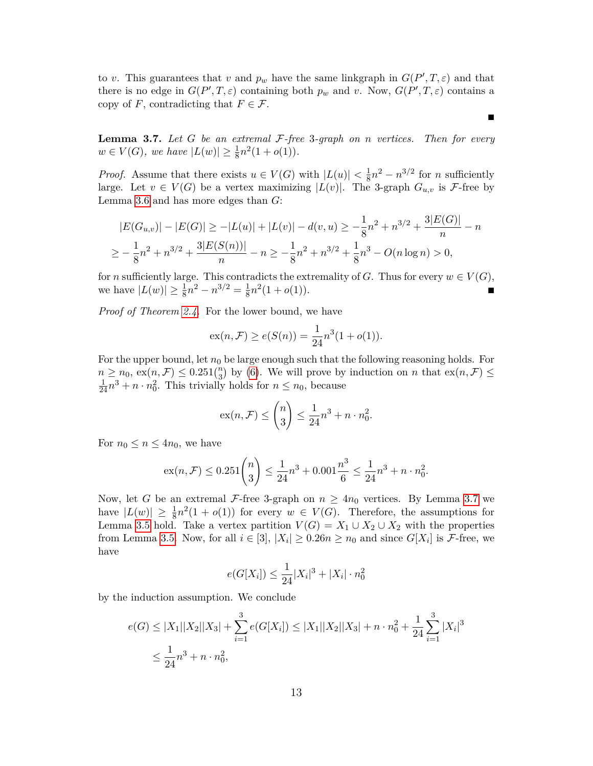to *v*. This guarantees that *v* and  $p_w$  have the same linkgraph in  $G(P', T, \varepsilon)$  and that there is no edge in  $G(P',T,\varepsilon)$  containing both  $p_w$  and v. Now,  $G(P',T,\varepsilon)$  contains a copy of *F*, contradicting that  $F \in \mathcal{F}$ .

<span id="page-12-0"></span>**Lemma 3.7.** *Let G be an extremal* F*-free* 3*-graph on n vertices. Then for every*  $w \in V(G)$ , we have  $|L(w)| \geq \frac{1}{8}n^2(1+o(1)).$ 

*Proof.* Assume that there exists  $u \in V(G)$  with  $|L(u)| < \frac{1}{8}$  $\frac{1}{8}n^2 - n^{3/2}$  for *n* sufficiently large. Let  $v \in V(G)$  be a vertex maximizing  $|L(v)|$ . The 3-graph  $G_{u,v}$  is F-free by Lemma [3.6](#page-11-0) and has more edges than *G*:

$$
|E(G_{u,v})| - |E(G)| \ge -|L(u)| + |L(v)| - d(v,u) \ge -\frac{1}{8}n^2 + n^{3/2} + \frac{3|E(G)|}{n} - n
$$
  

$$
\ge -\frac{1}{8}n^2 + n^{3/2} + \frac{3|E(S(n))|}{n} - n \ge -\frac{1}{8}n^2 + n^{3/2} + \frac{1}{8}n^3 - O(n \log n) > 0,
$$

for *n* sufficiently large. This contradicts the extremality of *G*. Thus for every  $w \in V(G)$ , we have  $|L(w)| \ge \frac{1}{8}n^2 - n^{3/2} = \frac{1}{8}$  $\frac{1}{8}n^2(1+o(1)).$ 

*Proof of Theorem [2.4.](#page-5-0)* For the lower bound, we have

$$
\operatorname{ex}(n, \mathcal{F}) \ge e(S(n)) = \frac{1}{24}n^3(1 + o(1)).
$$

For the upper bound, let  $n_0$  be large enough such that the following reasoning holds. For  $n \geq n_0$ ,  $ex(n, \mathcal{F}) \leq 0.251\binom{n}{3}$  by [\(6\)](#page-5-1). We will prove by induction on *n* that  $ex(n, \mathcal{F}) \leq$  $\frac{1}{24}n^3 + n \cdot n_0^2$ . This trivially holds for  $n \leq n_0$ , because

$$
\mathrm{ex}(n,\mathcal{F}) \le \binom{n}{3} \le \frac{1}{24}n^3 + n \cdot n_0^2.
$$

For  $n_0 \leq n \leq 4n_0$ , we have

$$
ex(n, \mathcal{F}) \le 0.251 \binom{n}{3} \le \frac{1}{24}n^3 + 0.001 \frac{n^3}{6} \le \frac{1}{24}n^3 + n \cdot n_0^2.
$$

Now, let *G* be an extremal *F*-free 3-graph on  $n \geq 4n_0$  vertices. By Lemma [3.7](#page-12-0) we have  $|L(w)| \geq \frac{1}{8}n^2(1 + o(1))$  for every  $w \in V(G)$ . Therefore, the assumptions for Lemma [3.5](#page-10-1) hold. Take a vertex partition  $V(G) = X_1 \cup X_2 \cup X_2$  with the properties from Lemma [3.5.](#page-10-1) Now, for all  $i \in [3]$ ,  $|X_i| \ge 0.26n \ge n_0$  and since  $G[X_i]$  is F-free, we have

$$
e(G[X_i]) \le \frac{1}{24}|X_i|^3 + |X_i| \cdot n_0^2
$$

by the induction assumption. We conclude

$$
e(G) \le |X_1||X_2||X_3| + \sum_{i=1}^3 e(G[X_i]) \le |X_1||X_2||X_3| + n \cdot n_0^2 + \frac{1}{24} \sum_{i=1}^3 |X_i|^3
$$
  

$$
\le \frac{1}{24}n^3 + n \cdot n_0^2,
$$

П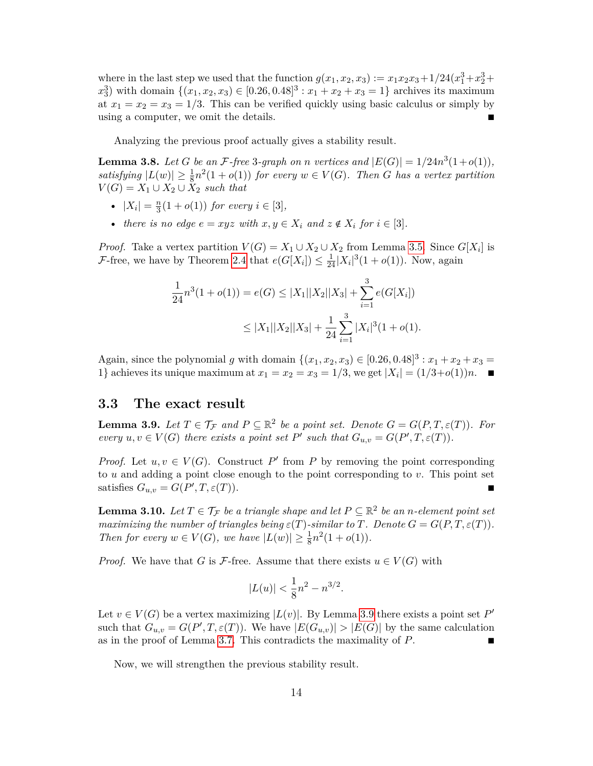where in the last step we used that the function  $g(x_1, x_2, x_3) := x_1 x_2 x_3 + 1/24(x_1^3 + x_2^3 + x_3^4)$  $x_3^3$ ) with domain  $\{(x_1, x_2, x_3) \in [0.26, 0.48]^3 : x_1 + x_2 + x_3 = 1\}$  archives its maximum at  $x_1 = x_2 = x_3 = 1/3$ . This can be verified quickly using basic calculus or simply by using a computer, we omit the details.

Analyzing the previous proof actually gives a stability result.

<span id="page-13-2"></span>**Lemma 3.8.** Let G be an F-free 3-graph on *n* vertices and  $|E(G)| = 1/24n^3(1+o(1)),$ satisfying  $|L(w)| \geq \frac{1}{8}n^2(1+o(1))$  *for every*  $w \in V(G)$ *. Then G has a vertex partition*  $V(G) = X_1 \cup X_2 \cup X_2$  *such that* 

- $|X_i| = \frac{n}{3}$  $\frac{n}{3}(1+o(1))$  *for every*  $i \in [3]$ *,*
- *there is no edge*  $e = xyz$  *with*  $x, y \in X_i$  *and*  $z \notin X_i$  *for*  $i \in [3]$ *.*

*Proof.* Take a vertex partition  $V(G) = X_1 \cup X_2 \cup X_2$  from Lemma [3.5.](#page-10-1) Since  $G[X_i]$  is *F*-free, we have by Theorem [2.4](#page-5-0) that  $e(G[X_i]) \leq \frac{1}{24} |X_i|^3 (1 + o(1))$ . Now, again

$$
\frac{1}{24}n^3(1+o(1)) = e(G) \le |X_1||X_2||X_3| + \sum_{i=1}^3 e(G[X_i])
$$
  

$$
\le |X_1||X_2||X_3| + \frac{1}{24} \sum_{i=1}^3 |X_i|^3(1+o(1)).
$$

Again, since the polynomial *g* with domain  $\{(x_1, x_2, x_3) \in [0.26, 0.48]^3 : x_1 + x_2 + x_3 =$ 1} achieves its unique maximum at  $x_1 = x_2 = x_3 = 1/3$ , we get  $|X_i| = (1/3 + o(1))n$ .

#### **3.3 The exact result**

<span id="page-13-0"></span>**Lemma 3.9.** Let  $T \in \mathcal{T}_{\mathcal{F}}$  and  $P \subseteq \mathbb{R}^2$  be a point set. Denote  $G = G(P, T, \varepsilon(T))$ . For *every*  $u, v \in V(G)$  *there exists a point set*  $P'$  *such that*  $G_{u,v} = G(P', T, \varepsilon(T))$ *.* 

*Proof.* Let  $u, v \in V(G)$ . Construct P' from P by removing the point corresponding to *u* and adding a point close enough to the point corresponding to *v*. This point set satisfies  $G_{u,v} = G(P', T, \varepsilon(T)).$ 

<span id="page-13-1"></span>**Lemma 3.10.** *Let*  $T \in \mathcal{T}_{\mathcal{F}}$  *be a triangle shape and let*  $P \subseteq \mathbb{R}^2$  *be an n-element point set maximizing the number of triangles being*  $\varepsilon(T)$ -similar to *T.* Denote  $G = G(P, T, \varepsilon(T))$ *. Then for every*  $w \in V(G)$ *, we have*  $|L(w)| \geq \frac{1}{8}n^2(1+o(1))$ *.* 

*Proof.* We have that *G* is *F*-free. Assume that there exists  $u \in V(G)$  with

$$
|L(u)| < \frac{1}{8}n^2 - n^{3/2}.
$$

Let  $v \in V(G)$  be a vertex maximizing  $|L(v)|$ . By Lemma [3.9](#page-13-0) there exists a point set P' such that  $G_{u,v} = G(P', T, \varepsilon(T))$ . We have  $|E(G_{u,v})| > |E(G)|$  by the same calculation as in the proof of Lemma [3.7.](#page-12-0) This contradicts the maximality of *P*.

Now, we will strengthen the previous stability result.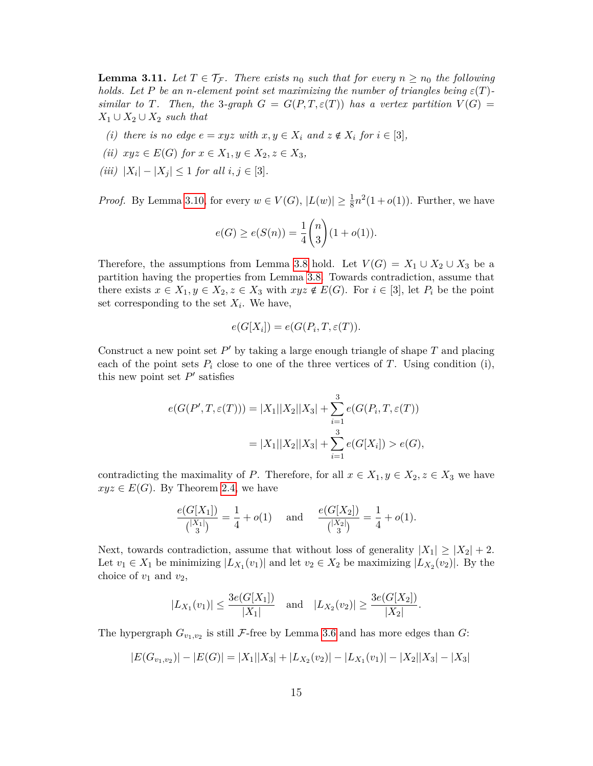**Lemma 3.11.** Let  $T \in \mathcal{T}_{\mathcal{F}}$ . There exists  $n_0$  such that for every  $n \geq n_0$  the following *holds.* Let P be an *n*-element point set maximizing the number of triangles being  $\varepsilon(T)$ *similar to T.* Then, the 3-graph  $G = G(P, T, \varepsilon(T))$  has a vertex partition  $V(G)$  $X_1$  ∪  $X_2$  ∪  $X_2$  *such that* 

- *(i) there is no edge*  $e = xyz$  *with*  $x, y \in X_i$  *and*  $z \notin X_i$  *for*  $i \in [3]$ *,*
- *(ii)*  $xyz \in E(G)$  *for*  $x \in X_1, y \in X_2, z \in X_3$ ,
- <span id="page-14-0"></span> $(iii)$   $|X_i| - |X_j| \leq 1$  *for all*  $i, j \in [3]$ *.*

*Proof.* By Lemma [3.10,](#page-13-1) for every  $w \in V(G)$ ,  $|L(w)| \geq \frac{1}{8}n^2(1+o(1))$ . Further, we have

$$
e(G) \ge e(S(n)) = \frac{1}{4} {n \choose 3} (1 + o(1)).
$$

Therefore, the assumptions from Lemma [3.8](#page-13-2) hold. Let  $V(G) = X_1 \cup X_2 \cup X_3$  be a partition having the properties from Lemma [3.8.](#page-13-2) Towards contradiction, assume that there exists  $x \in X_1, y \in X_2, z \in X_3$  with  $xyz \notin E(G)$ . For  $i \in [3]$ , let  $P_i$  be the point set corresponding to the set  $X_i$ . We have,

$$
e(G[X_i]) = e(G(P_i, T, \varepsilon(T)).
$$

Construct a new point set  $P'$  by taking a large enough triangle of shape  $T$  and placing each of the point sets  $P_i$  close to one of the three vertices of  $T$ . Using condition (i), this new point set  $P'$  satisfies

$$
e(G(P',T,\varepsilon(T))) = |X_1||X_2||X_3| + \sum_{i=1}^3 e(G(P_i,T,\varepsilon(T)))
$$
  
=  $|X_1||X_2||X_3| + \sum_{i=1}^3 e(G[X_i]) > e(G),$ 

contradicting the maximality of *P*. Therefore, for all  $x \in X_1, y \in X_2, z \in X_3$  we have  $xyz \in E(G)$ . By Theorem [2.4,](#page-5-0) we have

$$
\frac{e(G[X_1])}{\binom{|X_1|}{3}} = \frac{1}{4} + o(1) \quad \text{ and } \quad \frac{e(G[X_2])}{\binom{|X_2|}{3}} = \frac{1}{4} + o(1).
$$

Next, towards contradiction, assume that without loss of generality  $|X_1| \geq |X_2| + 2$ . Let  $v_1 \in X_1$  be minimizing  $|L_{X_1}(v_1)|$  and let  $v_2 \in X_2$  be maximizing  $|L_{X_2}(v_2)|$ . By the choice of  $v_1$  and  $v_2$ ,

$$
|L_{X_1}(v_1)| \le \frac{3e(G[X_1])}{|X_1|}
$$
 and  $|L_{X_2}(v_2)| \ge \frac{3e(G[X_2])}{|X_2|}$ .

The hypergraph  $G_{v_1,v_2}$  is still F-free by Lemma [3.6](#page-11-0) and has more edges than  $G$ :

$$
|E(G_{v_1,v_2})| - |E(G)| = |X_1||X_3| + |L_{X_2}(v_2)| - |L_{X_1}(v_1)| - |X_2||X_3| - |X_3|
$$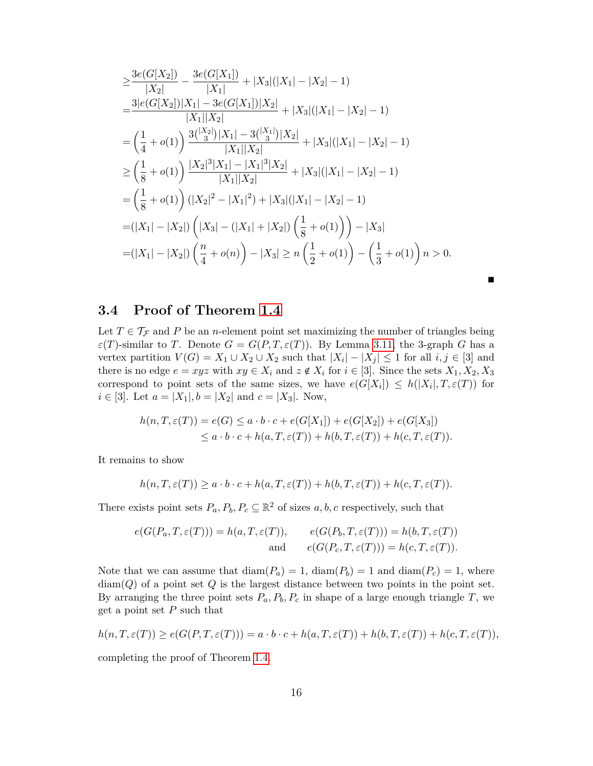$$
\geq \frac{3e(G[X_2])}{|X_2|} - \frac{3e(G[X_1])}{|X_1|} + |X_3|(|X_1| - |X_2| - 1)
$$
  
\n
$$
= \frac{3|e(G[X_2])|X_1| - 3e(G[X_1])|X_2|}{|X_1||X_2|} + |X_3|(|X_1| - |X_2| - 1)
$$
  
\n
$$
= \left(\frac{1}{4} + o(1)\right) \frac{3\binom{|X_2|}{3}|X_1| - 3\binom{|X_1|}{3}|X_2|}{|X_1||X_2|} + |X_3|(|X_1| - |X_2| - 1)
$$
  
\n
$$
\geq \left(\frac{1}{8} + o(1)\right) \frac{|X_2|^3|X_1| - |X_1|^3|X_2|}{|X_1||X_2|} + |X_3|(|X_1| - |X_2| - 1)
$$
  
\n
$$
= \left(\frac{1}{8} + o(1)\right) (|X_2|^2 - |X_1|^2) + |X_3|(|X_1| - |X_2| - 1)
$$
  
\n
$$
= (|X_1| - |X_2|) (|X_3| - (|X_1| + |X_2|) (\frac{1}{8} + o(1)) - |X_3|
$$
  
\n
$$
= (|X_1| - |X_2|) (\frac{n}{4} + o(n)) - |X_3| \geq n (\frac{1}{2} + o(1)) - (\frac{1}{3} + o(1)) n > 0.
$$

■

### **3.4 Proof of Theorem [1.4](#page-2-0)**

Let  $T \in \mathcal{T}_{\mathcal{F}}$  and P be an *n*-element point set maximizing the number of triangles being  $\varepsilon(T)$ -similar to *T*. Denote  $G = G(P, T, \varepsilon(T))$ . By Lemma [3.11,](#page-14-0) the 3-graph *G* has a vertex partition  $V(G) = X_1 \cup X_2 \cup X_2$  such that  $|X_i| - |X_j| \leq 1$  for all  $i, j \in [3]$  and there is no edge  $e = xyz$  with  $xy \in X_i$  and  $z \notin X_i$  for  $i \in [3]$ . Since the sets  $X_1, X_2, X_3$ correspond to point sets of the same sizes, we have  $e(G[X_i]) \leq h(|X_i|, T, \varepsilon(T))$  for *i* ∈ [3]. Let *a* =  $|X_1|$ , *b* =  $|X_2|$  and *c* =  $|X_3|$ . Now,

$$
h(n, T, \varepsilon(T)) = e(G) \le a \cdot b \cdot c + e(G[X_1]) + e(G[X_2]) + e(G[X_3])
$$
  
 
$$
\le a \cdot b \cdot c + h(a, T, \varepsilon(T)) + h(b, T, \varepsilon(T)) + h(c, T, \varepsilon(T)).
$$

It remains to show

$$
h(n, T, \varepsilon(T)) \ge a \cdot b \cdot c + h(a, T, \varepsilon(T)) + h(b, T, \varepsilon(T)) + h(c, T, \varepsilon(T)).
$$

There exists point sets  $P_a, P_b, P_c \subseteq \mathbb{R}^2$  of sizes  $a, b, c$  respectively, such that

$$
e(G(P_a, T, \varepsilon(T))) = h(a, T, \varepsilon(T)), \qquad e(G(P_b, T, \varepsilon(T))) = h(b, T, \varepsilon(T))
$$
  
and 
$$
e(G(P_c, T, \varepsilon(T))) = h(c, T, \varepsilon(T)).
$$

Note that we can assume that  $\text{diam}(P_a) = 1$ ,  $\text{diam}(P_b) = 1$  and  $\text{diam}(P_c) = 1$ , where diam(*Q*) of a point set *Q* is the largest distance between two points in the point set. By arranging the three point sets  $P_a$ ,  $P_b$ ,  $P_c$  in shape of a large enough triangle *T*, we get a point set *P* such that

$$
h(n, T, \varepsilon(T)) \ge e(G(P, T, \varepsilon(T))) = a \cdot b \cdot c + h(a, T, \varepsilon(T)) + h(b, T, \varepsilon(T)) + h(c, T, \varepsilon(T)),
$$

completing the proof of Theorem [1.4.](#page-2-0)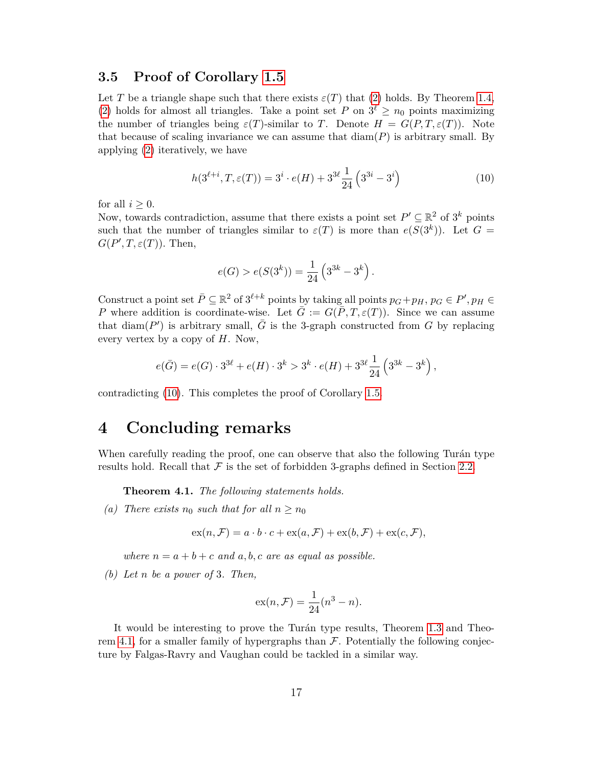#### **3.5 Proof of Corollary [1.5](#page-2-2)**

Let *T* be a triangle shape such that there exists  $\varepsilon(T)$  that [\(2\)](#page-2-3) holds. By Theorem [1.4,](#page-2-0) [\(2\)](#page-2-3) holds for almost all triangles. Take a point set *P* on  $3^{\ell} \ge n_0$  points maximizing the number of triangles being  $\varepsilon(T)$ -similar to *T*. Denote  $H = G(P, T, \varepsilon(T))$ . Note that because of scaling invariance we can assume that  $\text{diam}(P)$  is arbitrary small. By applying [\(2\)](#page-2-3) iteratively, we have

$$
h(3^{\ell+i}, T, \varepsilon(T)) = 3^i \cdot e(H) + 3^{3\ell} \frac{1}{24} \left( 3^{3i} - 3^i \right)
$$
 (10)

for all  $i \geq 0$ .

Now, towards contradiction, assume that there exists a point set  $P' \subseteq \mathbb{R}^2$  of  $3^k$  points such that the number of triangles similar to  $\varepsilon(T)$  is more than  $e(S(3^k))$ . Let  $G =$  $G(P', T, \varepsilon(T))$ . Then,

<span id="page-16-1"></span>
$$
e(G) > e(S(3k)) = \frac{1}{24} (33k - 3k).
$$

Construct a point set  $\overline{P} \subseteq \mathbb{R}^2$  of  $3^{\ell+k}$  points by taking all points  $p_G + p_H$ ,  $p_G \in P'$ ,  $p_H \in$ *P* where addition is coordinate-wise. Let  $\bar{G} := G(\bar{P}, T, \varepsilon(T))$ . Since we can assume that diam( $P'$ ) is arbitrary small,  $\overline{G}$  is the 3-graph constructed from  $G$  by replacing every vertex by a copy of *H*. Now,

$$
e(\bar{G}) = e(G) \cdot 3^{3\ell} + e(H) \cdot 3^k > 3^k \cdot e(H) + 3^{3\ell} \frac{1}{24} \left( 3^{3k} - 3^k \right),
$$

contradicting [\(10\)](#page-16-1). This completes the proof of Corollary [1.5.](#page-2-2)

### <span id="page-16-0"></span>**4 Concluding remarks**

When carefully reading the proof, one can observe that also the following Turán type results hold. Recall that  $\mathcal F$  is the set of forbidden 3-graphs defined in Section [2.2.](#page-3-2)

<span id="page-16-2"></span>**Theorem 4.1.** *The following statements holds.*

(a) There exists  $n_0$  such that for all  $n \geq n_0$ 

$$
ex(n, \mathcal{F}) = a \cdot b \cdot c + ex(a, \mathcal{F}) + ex(b, \mathcal{F}) + ex(c, \mathcal{F}),
$$

*where*  $n = a + b + c$  *and*  $a, b, c$  *are as equal as possible.* 

*(b) Let n be a power of* 3*. Then,*

$$
ex(n, \mathcal{F}) = \frac{1}{24}(n^3 - n).
$$

It would be interesting to prove the Turán type results, Theorem [1.3](#page-1-1) and Theo-rem [4.1,](#page-16-2) for a smaller family of hypergraphs than  $\mathcal F$ . Potentially the following conjecture by Falgas-Ravry and Vaughan could be tackled in a similar way.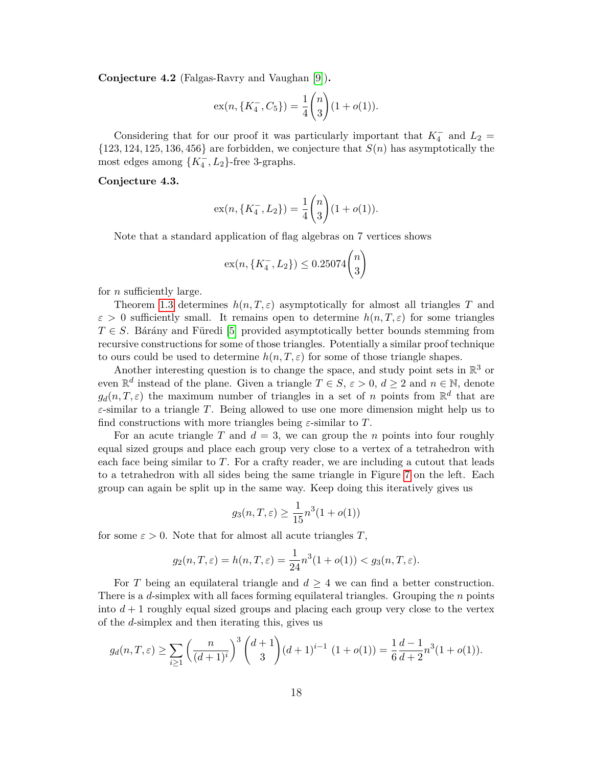<span id="page-17-0"></span>**Conjecture 4.2** (Falgas-Ravry and Vaughan [\[9\]](#page-19-11))**.**

$$
ex(n, \{K_4^-, C_5\}) = \frac{1}{4} \binom{n}{3} (1 + o(1)).
$$

Considering that for our proof it was particularly important that  $K_4^-$  and  $L_2 =$  $\{123, 124, 125, 136, 456\}$  are forbidden, we conjecture that  $S(n)$  has asymptotically the most edges among  $\{K_4^-, L_2\}$ -free 3-graphs.

#### **Conjecture 4.3.**

$$
ex(n, \{K_4^-, L_2\}) = \frac{1}{4} \binom{n}{3} (1 + o(1)).
$$

Note that a standard application of flag algebras on 7 vertices shows

$$
ex(n, \{K_4^-, L_2\}) \le 0.25074 \binom{n}{3}
$$

for *n* sufficiently large.

Theorem [1.3](#page-1-1) determines *h*(*n, T, ε*) asymptotically for almost all triangles *T* and  $\varepsilon > 0$  sufficiently small. It remains open to determine  $h(n, T, \varepsilon)$  for some triangles  $T \in S$ . Bárány and Füredi [\[5\]](#page-19-0) provided asymptotically better bounds stemming from recursive constructions for some of those triangles. Potentially a similar proof technique to ours could be used to determine  $h(n, T, \varepsilon)$  for some of those triangle shapes.

Another interesting question is to change the space, and study point sets in  $\mathbb{R}^3$  or even  $\mathbb{R}^d$  instead of the plane. Given a triangle  $T \in S$ ,  $\varepsilon > 0$ ,  $d \geq 2$  and  $n \in \mathbb{N}$ , denote  $g_d(n, T, \varepsilon)$  the maximum number of triangles in a set of *n* points from  $\mathbb{R}^d$  that are *ε*-similar to a triangle *T*. Being allowed to use one more dimension might help us to find constructions with more triangles being *ε*-similar to *T*.

For an acute triangle  $T$  and  $d = 3$ , we can group the  $n$  points into four roughly equal sized groups and place each group very close to a vertex of a tetrahedron with each face being similar to *T*. For a crafty reader, we are including a cutout that leads to a tetrahedron with all sides being the same triangle in Figure [7](#page-18-0) on the left. Each group can again be split up in the same way. Keep doing this iteratively gives us

$$
g_3(n, T, \varepsilon) \ge \frac{1}{15} n^3 (1 + o(1))
$$

for some  $\varepsilon > 0$ . Note that for almost all acute triangles T,

$$
g_2(n, T, \varepsilon) = h(n, T, \varepsilon) = \frac{1}{24} n^3 (1 + o(1)) < g_3(n, T, \varepsilon).
$$

For *T* being an equilateral triangle and  $d \geq 4$  we can find a better construction. There is a *d*-simplex with all faces forming equilateral triangles. Grouping the *n* points into  $d+1$  roughly equal sized groups and placing each group very close to the vertex of the *d*-simplex and then iterating this, gives us

$$
g_d(n,T,\varepsilon) \ge \sum_{i\ge 1} \left(\frac{n}{(d+1)^i}\right)^3 \binom{d+1}{3} (d+1)^{i-1} (1+o(1)) = \frac{1}{6} \frac{d-1}{d+2} n^3 (1+o(1)).
$$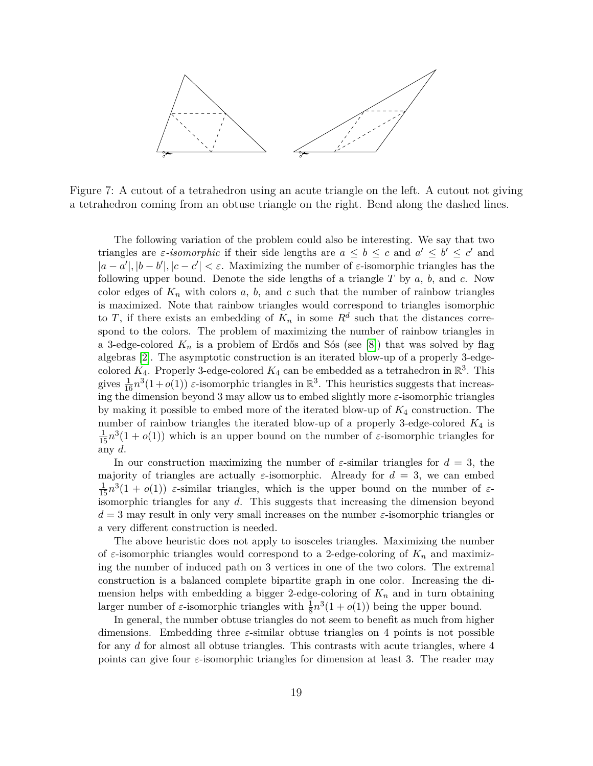<span id="page-18-0"></span>

Figure 7: A cutout of a tetrahedron using an acute triangle on the left. A cutout not giving a tetrahedron coming from an obtuse triangle on the right. Bend along the dashed lines.

The following variation of the problem could also be interesting. We say that two triangles are *ε*-isomorphic if their side lengths are  $a \leq b \leq c$  and  $a' \leq b' \leq c'$  and  $|a - a'|$ ,  $|b - b'|$ ,  $|c - c'| < \varepsilon$ . Maximizing the number of  $\varepsilon$ -isomorphic triangles has the following upper bound. Denote the side lengths of a triangle *T* by *a*, *b*, and *c*. Now color edges of  $K_n$  with colors  $a, b$ , and  $c$  such that the number of rainbow triangles is maximized. Note that rainbow triangles would correspond to triangles isomorphic to *T*, if there exists an embedding of  $K_n$  in some  $R^d$  such that the distances correspond to the colors. The problem of maximizing the number of rainbow triangles in a 3-edge-colored  $K_n$  is a problem of Erdős and Sós (see [\[8\]](#page-19-13)) that was solved by flag algebras [\[2\]](#page-19-10). The asymptotic construction is an iterated blow-up of a properly 3-edgecolored  $K_4$ . Properly 3-edge-colored  $K_4$  can be embedded as a tetrahedron in  $\mathbb{R}^3$ . This gives  $\frac{1}{16}n^3(1+o(1))$  *ε*-isomorphic triangles in  $\mathbb{R}^3$ . This heuristics suggests that increasing the dimension beyond 3 may allow us to embed slightly more *ε*-isomorphic triangles by making it possible to embed more of the iterated blow-up of *K*<sup>4</sup> construction. The number of rainbow triangles the iterated blow-up of a properly 3-edge-colored *K*<sup>4</sup> is  $\frac{1}{15}n^3(1+o(1))$  which is an upper bound on the number of  $\varepsilon$ -isomorphic triangles for any *d*.

In our construction maximizing the number of  $\varepsilon$ -similar triangles for  $d = 3$ , the majority of triangles are actually  $\varepsilon$ -isomorphic. Already for  $d = 3$ , we can embed  $\frac{1}{15}n^3(1+o(1))$  *ε*-similar triangles, which is the upper bound on the number of *ε*isomorphic triangles for any *d*. This suggests that increasing the dimension beyond *d* = 3 may result in only very small increases on the number *ε*-isomorphic triangles or a very different construction is needed.

The above heuristic does not apply to isosceles triangles. Maximizing the number of *ε*-isomorphic triangles would correspond to a 2-edge-coloring of *K<sup>n</sup>* and maximizing the number of induced path on 3 vertices in one of the two colors. The extremal construction is a balanced complete bipartite graph in one color. Increasing the dimension helps with embedding a bigger 2-edge-coloring of  $K_n$  and in turn obtaining larger number of  $\varepsilon$ -isomorphic triangles with  $\frac{1}{8}n^3(1 + o(1))$  being the upper bound.

In general, the number obtuse triangles do not seem to benefit as much from higher dimensions. Embedding three *ε*-similar obtuse triangles on 4 points is not possible for any *d* for almost all obtuse triangles. This contrasts with acute triangles, where 4 points can give four  $\varepsilon$ -isomorphic triangles for dimension at least 3. The reader may